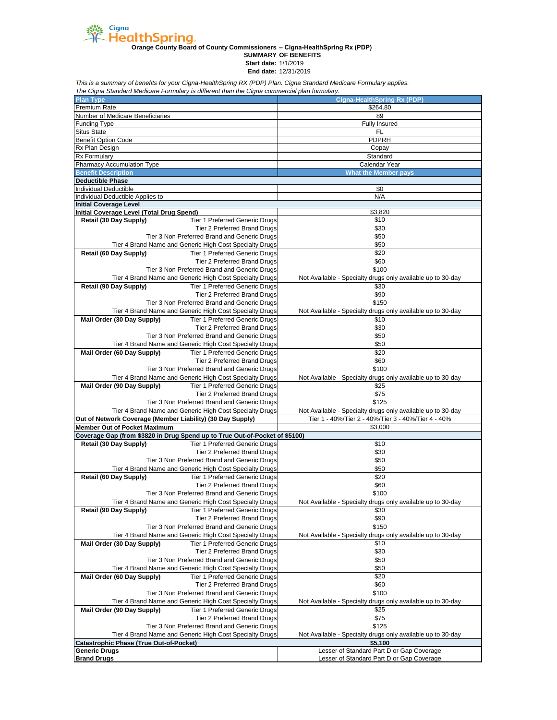

**Orange County Board of County Commissioners – Cigna-HealthSpring Rx (PDP)**

**SUMMARY OF BENEFITS**

**Start date:** 1/1/2019

**End date:** 12/31/2019

*This is a summary of benefits for your Cigna-HealthSpring RX (PDP) Plan. Cigna Standard Medicare Formulary applies.*

| The Cigna Standard Medicare Formulary is different than the Cigna commercial plan formulary.                                   |                                                                     |
|--------------------------------------------------------------------------------------------------------------------------------|---------------------------------------------------------------------|
| <b>Plan Type</b>                                                                                                               | <b>Cigna-HealthSpring Rx (PDP)</b>                                  |
| Premium Rate                                                                                                                   | \$264.80                                                            |
| Number of Medicare Beneficiaries<br>Funding Type                                                                               | 89<br><b>Fully Insured</b>                                          |
| <b>Situs State</b>                                                                                                             | FL                                                                  |
| <b>Benefit Option Code</b>                                                                                                     | PDPRH                                                               |
| Rx Plan Design                                                                                                                 | Copay                                                               |
| Rx Formulary                                                                                                                   | Standard                                                            |
| Pharmacy Accumulation Type                                                                                                     | Calendar Year                                                       |
| <b>Benefit Description</b>                                                                                                     | <b>What the Member pays</b>                                         |
| <b>Deductible Phase</b>                                                                                                        |                                                                     |
| Individual Deductible                                                                                                          | \$0                                                                 |
| Individual Deductible Applies to                                                                                               | N/A                                                                 |
| <b>Initial Coverage Level</b>                                                                                                  |                                                                     |
| Initial Coverage Level (Total Drug Spend)                                                                                      | \$3,820                                                             |
| Retail (30 Day Supply)<br><b>Tier 1 Preferred Generic Drugs</b>                                                                | \$10                                                                |
| <b>Tier 2 Preferred Brand Drugs</b>                                                                                            | \$30                                                                |
| Tier 3 Non Preferred Brand and Generic Drugs                                                                                   | \$50                                                                |
| Tier 4 Brand Name and Generic High Cost Specialty Drugs                                                                        | \$50                                                                |
| Retail (60 Day Supply)<br><b>Tier 1 Preferred Generic Drugs</b>                                                                | \$20                                                                |
| <b>Tier 2 Preferred Brand Drugs</b>                                                                                            | \$60                                                                |
| Tier 3 Non Preferred Brand and Generic Drugs                                                                                   | \$100                                                               |
| Tier 4 Brand Name and Generic High Cost Specialty Drugs                                                                        | Not Available - Specialty drugs only available up to 30-day         |
| Retail (90 Day Supply)<br><b>Tier 1 Preferred Generic Drugs</b>                                                                | \$30                                                                |
| <b>Tier 2 Preferred Brand Drugs</b>                                                                                            | \$90                                                                |
| Tier 3 Non Preferred Brand and Generic Drugs                                                                                   | \$150                                                               |
| Tier 4 Brand Name and Generic High Cost Specialty Drugs                                                                        | Not Available - Specialty drugs only available up to 30-day         |
| Mail Order (30 Day Supply)<br>Tier 1 Preferred Generic Drugs                                                                   | \$10                                                                |
| <b>Tier 2 Preferred Brand Drugs</b>                                                                                            | \$30                                                                |
| Tier 3 Non Preferred Brand and Generic Drugs                                                                                   | \$50                                                                |
| Tier 4 Brand Name and Generic High Cost Specialty Drugs<br>Mail Order (60 Day Supply)<br>Tier 1 Preferred Generic Drugs        | \$50                                                                |
| <b>Tier 2 Preferred Brand Drugs</b>                                                                                            | \$20<br>\$60                                                        |
| Tier 3 Non Preferred Brand and Generic Drugs                                                                                   | \$100                                                               |
|                                                                                                                                |                                                                     |
| Tier 4 Brand Name and Generic High Cost Specialty Drugs<br>Mail Order (90 Day Supply)<br><b>Tier 1 Preferred Generic Drugs</b> | Not Available - Specialty drugs only available up to 30-day<br>\$25 |
| Tier 2 Preferred Brand Drugs                                                                                                   | \$75                                                                |
| Tier 3 Non Preferred Brand and Generic Drugs                                                                                   | \$125                                                               |
| Tier 4 Brand Name and Generic High Cost Specialty Drugs                                                                        | Not Available - Specialty drugs only available up to 30-day         |
| Out of Network Coverage (Member Liability) (30 Day Supply)                                                                     | Tier 1 - 40%/Tier 2 - 40%/Tier 3 - 40%/Tier 4 - 40%                 |
| <b>Member Out of Pocket Maximum</b>                                                                                            | \$3,000                                                             |
| Coverage Gap (from \$3820 in Drug Spend up to True Out-of-Pocket of \$5100)                                                    |                                                                     |
| <b>Tier 1 Preferred Generic Drugs</b><br>Retail (30 Day Supply)                                                                | \$10                                                                |
| Tier 2 Preferred Brand Drugs                                                                                                   | \$30                                                                |
| Tier 3 Non Preferred Brand and Generic Drugs                                                                                   | \$50                                                                |
| Tier 4 Brand Name and Generic High Cost Specialty Drugs                                                                        | \$50                                                                |
| Retail (60 Day Supply)<br><b>Tier 1 Preferred Generic Drugs</b>                                                                | \$20                                                                |
| Tier 2 Preferred Brand Drugs                                                                                                   | \$60                                                                |
| Tier 3 Non Preferred Brand and Generic Drugs                                                                                   | \$100                                                               |
| Tier 4 Brand Name and Generic High Cost Specialty Drugs                                                                        | Not Available - Specialty drugs only available up to 30-day         |
| Tier 1 Preferred Generic Drugs<br>Retail (90 Day Supply)                                                                       | \$30                                                                |
| Tier 2 Preferred Brand Drugs                                                                                                   | \$90                                                                |
| Tier 3 Non Preferred Brand and Generic Drugs                                                                                   | \$150                                                               |
| Tier 4 Brand Name and Generic High Cost Specialty Drugs                                                                        | Not Available - Specialty drugs only available up to 30-day         |
| Mail Order (30 Day Supply)<br><b>Tier 1 Preferred Generic Drugs</b>                                                            | \$10                                                                |
| <b>Tier 2 Preferred Brand Drugs</b>                                                                                            | \$30                                                                |
| Tier 3 Non Preferred Brand and Generic Drugs                                                                                   | \$50                                                                |
| Tier 4 Brand Name and Generic High Cost Specialty Drugs                                                                        | \$50                                                                |
| Mail Order (60 Day Supply)<br><b>Tier 1 Preferred Generic Drugs</b>                                                            | \$20                                                                |
| Tier 2 Preferred Brand Drugs                                                                                                   | \$60                                                                |
| Tier 3 Non Preferred Brand and Generic Drugs                                                                                   | \$100                                                               |
| Tier 4 Brand Name and Generic High Cost Specialty Drugs                                                                        | Not Available - Specialty drugs only available up to 30-day         |
| Mail Order (90 Day Supply)<br><b>Tier 1 Preferred Generic Drugs</b>                                                            | \$25                                                                |
| Tier 2 Preferred Brand Drugs                                                                                                   | \$75                                                                |
| Tier 3 Non Preferred Brand and Generic Drugs                                                                                   | \$125                                                               |
| Tier 4 Brand Name and Generic High Cost Specialty Drugs                                                                        | Not Available - Specialty drugs only available up to 30-day         |
| <b>Catastrophic Phase (True Out-of-Pocket)</b>                                                                                 | \$5.100                                                             |
| <b>Generic Drugs</b>                                                                                                           | Lesser of Standard Part D or Gap Coverage                           |
| <b>Brand Drugs</b>                                                                                                             | Lesser of Standard Part D or Gap Coverage                           |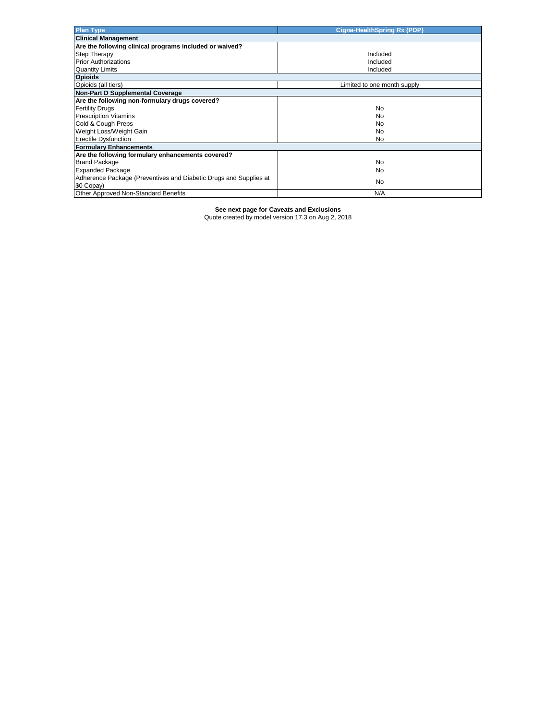| <b>Plan Type</b>                                                  | <b>Cigna-HealthSpring Rx (PDP)</b> |
|-------------------------------------------------------------------|------------------------------------|
| <b>Clinical Management</b>                                        |                                    |
| Are the following clinical programs included or waived?           |                                    |
| <b>Step Therapy</b>                                               | Included                           |
| <b>Prior Authorizations</b>                                       | Included                           |
| <b>Quantity Limits</b>                                            | Included                           |
| <b>Opioids</b>                                                    |                                    |
| Opioids (all tiers)                                               | Limited to one month supply        |
| Non-Part D Supplemental Coverage                                  |                                    |
| Are the following non-formulary drugs covered?                    |                                    |
| <b>Fertility Drugs</b>                                            | No                                 |
| <b>Prescription Vitamins</b>                                      | No                                 |
| Cold & Cough Preps                                                | No                                 |
| Weight Loss/Weight Gain                                           | No                                 |
| <b>Erectile Dysfunction</b>                                       | No                                 |
| <b>Formulary Enhancements</b>                                     |                                    |
| Are the following formulary enhancements covered?                 |                                    |
| <b>Brand Package</b>                                              | No                                 |
| <b>Expanded Package</b>                                           | No                                 |
| Adherence Package (Preventives and Diabetic Drugs and Supplies at | No.                                |
| \$0 Copay)                                                        |                                    |
| <b>Other Approved Non-Standard Benefits</b>                       | N/A                                |

**See next page for Caveats and Exclusions**

Quote created by model version 17.3 on Aug 2, 2018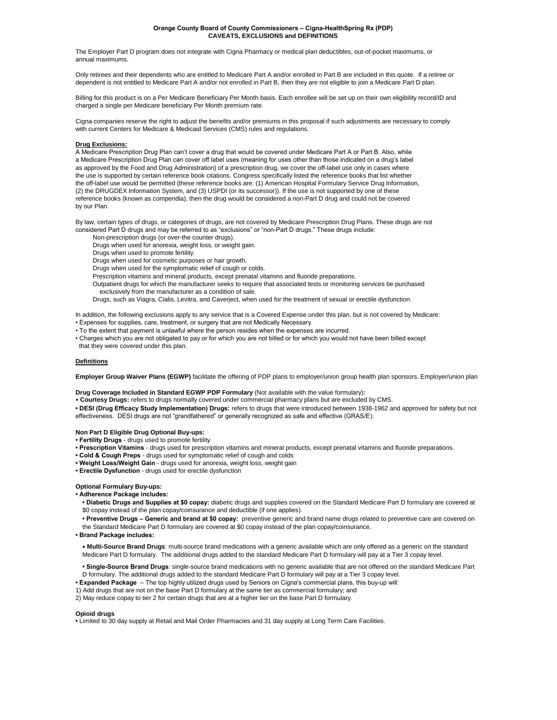#### **CAVEATS, EXCLUSIONS and DEFINITIONS Orange County Board of County Commissioners – Cigna-HealthSpring Rx (PDP)**

The Employer Part D program does not integrate with Cigna Pharmacy or medical plan deductibles, out-of-pocket maximums, or annual maximums.

Only retirees and their dependents who are entitled to Medicare Part A and/or enrolled in Part B are included in this quote. If a retiree or dependent is not entitled to Medicare Part A and/or not enrolled in Part B, then they are not eligible to join a Medicare Part D plan.

Billing for this product is on a Per Medicare Beneficiary Per Month basis. Each enrollee will be set up on their own eligibility record/ID and charged a single per Medicare beneficiary Per Month premium rate.

Cigna companies reserve the right to adjust the benefits and/or premiums in this proposal if such adjustments are necessary to comply with current Centers for Medicare & Medicaid Services (CMS) rules and regulations.

## **Drug Exclusions:**

A Medicare Prescription Drug Plan can't cover a drug that would be covered under Medicare Part A or Part B. Also, while a Medicare Prescription Drug Plan can cover off label uses (meaning for uses other than those indicated on a drug's label as approved by the Food and Drug Administration) of a prescription drug, we cover the off-label use only in cases where the use is supported by certain reference book citations. Congress specifically listed the reference books that list whether the off-label use would be permitted (these reference books are: (1) American Hospital Formulary Service Drug Information, (2) the DRUGDEX Information System, and (3) USPDI (or its successor)). If the use is not supported by one of these reference books (known as compendia), then the drug would be considered a non-Part D drug and could not be covered by our Plan.

By law, certain types of drugs, or categories of drugs, are not covered by Medicare Prescription Drug Plans. These drugs are not considered Part D drugs and may be referred to as "exclusions" or "non-Part D drugs." These drugs include:

Non-prescription drugs (or over-the counter drugs).

Drugs when used for anorexia, weight loss, or weight gain.

Drugs when used to promote fertility.

Drugs when used for cosmetic purposes or hair growth.

Drugs when used for the symptomatic relief of cough or colds.

Prescription vitamins and mineral products, except prenatal vitamins and fluoride preparations.

Outpatient drugs for which the manufacturer seeks to require that associated tests or monitoring services be purchased exclusively from the manufacturer as a condition of sale.

Drugs, such as Viagra, Cialis, Levitra, and Caverject, when used for the treatment of sexual or erectile dysfunction.

In addition, the following exclusions apply to any service that is a Covered Expense under this plan, but is not covered by Medicare:

- Expenses for supplies, care, treatment, or surgery that are not Medically Necessary.
- To the extent that payment is unlawful where the person resides when the expenses are incurred.
- Charges which you are not obligated to pay or for which you are not billed or for which you would not have been billed except that they were covered under this plan.

#### **Definitions**

**Employer Group Waiver Plans (EGWP)** facilitate the offering of PDP plans to employer/union group health plan sponsors. Employer/union plan

**Drug Coverage Included in Standard EGWP PDP Formulary** (Not available with the value formulary)**:**

- **Courtesy Drugs:** refers to drugs normally covered under commercial pharmacy plans but are excluded by CMS.
- **DESI (Drug Efficacy Study Implementation) Drugs:** refers to drugs that were introduced between 1938-1962 and approved for safety but not
- effectiveness. DESI drugs are not "grandfathered" or generally recognized as safe and effective (GRAS/E).

## **Non Part D Eligible Drug Optional Buy-ups:**

- **Fertility Drugs** drugs used to promote fertility
- **Prescription Vitamins** drugs used for prescription vitamins and mineral products, except prenatal vitamins and fluoride preparations.
- **Cold & Cough Preps** drugs used for symptomatic relief of cough and colds
- **Weight Loss/Weight Gain** drugs used for anorexia, weight loss, weight gain
- **Erectile Dysfunction** drugs used for erectile dysfunction

## **Optional Formulary Buy-ups:**

- **Adherence Package includes:**
	- **Diabetic Drugs and Supplies at \$0 copay:** diabetic drugs and supplies covered on the Standard Medicare Part D formulary are covered at \$0 copay instead of the plan copay/coinsurance and deductible (if one applies).
	- Preventive Drugs Generic and brand at \$0 copay: preventive generic and brand name drugs related to preventive care are covered on the Standard Medicare Part D formulary are covered at \$0 copay instead of the plan copay/coinsurance.
- **Brand Package includes:**
	- **• Multi-Source Brand Drugs**: multi-source brand medications with a generic available which are only offered as a generic on the standard Medicare Part D formulary. The additional drugs added to the standard Medicare Part D formulary will pay at a Tier 3 copay level.
- **Single-Source Brand Drugs**: single-source brand medications with no generic available that are not offered on the standard Medicare Part D formulary. The additional drugs added to the standard Medicare Part D formulary will pay at a Tier 3 copay level.
- **Expanded Package**  The top highly utilized drugs used by Seniors on Cigna's commercial plans, this buy-up will:
- 1) Add drugs that are not on the base Part D formulary at the same tier as commercial formulary; and
- 2) May reduce copay to tier 2 for certain drugs that are at a higher tier on the base Part D formulary.

#### **Opioid drugs**

**•** Limited to 30 day supply at Retail and Mail Order Pharmacies and 31 day supply at Long Term Care Facilities.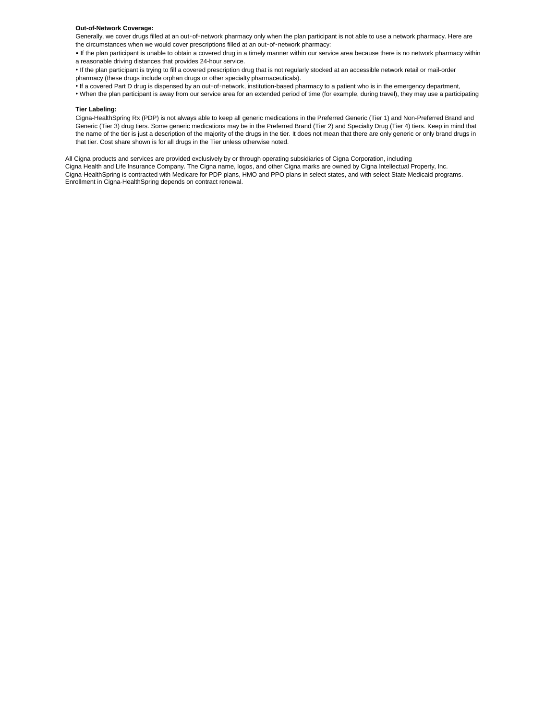## **Out-of-Network Coverage:**

Generally, we cover drugs filled at an out‑of‑network pharmacy only when the plan participant is not able to use a network pharmacy. Here are the circumstances when we would cover prescriptions filled at an out-of-network pharmacy:

• If the plan participant is unable to obtain a covered drug in a timely manner within our service area because there is no network pharmacy within a reasonable driving distances that provides 24-hour service.

• If the plan participant is trying to fill a covered prescription drug that is not regularly stocked at an accessible network retail or mail-order pharmacy (these drugs include orphan drugs or other specialty pharmaceuticals).

• If a covered Part D drug is dispensed by an out‑of‑network, institution-based pharmacy to a patient who is in the emergency department,

• When the plan participant is away from our service area for an extended period of time (for example, during travel), they may use a participating

## **Tier Labeling:**

Cigna-HealthSpring Rx (PDP) is not always able to keep all generic medications in the Preferred Generic (Tier 1) and Non-Preferred Brand and Generic (Tier 3) drug tiers. Some generic medications may be in the Preferred Brand (Tier 2) and Specialty Drug (Tier 4) tiers. Keep in mind that the name of the tier is just a description of the majority of the drugs in the tier. It does not mean that there are only generic or only brand drugs in that tier. Cost share shown is for all drugs in the Tier unless otherwise noted.

All Cigna products and services are provided exclusively by or through operating subsidiaries of Cigna Corporation, including Cigna Health and Life Insurance Company. The Cigna name, logos, and other Cigna marks are owned by Cigna Intellectual Property, Inc. Enrollment in Cigna-HealthSpring depends on contract renewal. Cigna-HealthSpring is contracted with Medicare for PDP plans, HMO and PPO plans in select states, and with select State Medicaid programs.